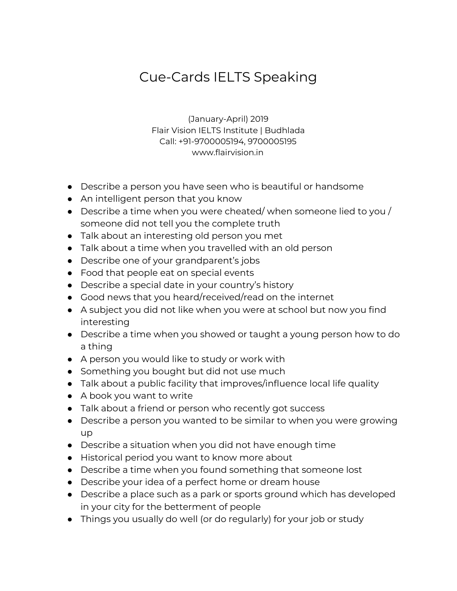## Cue-Cards IELTS Speaking

(January-April) 2019 Flair Vision IELTS Institute | Budhlada Call: +91-9700005194, 9700005195 www.flairvision.in

- Describe a person you have seen who is beautiful or handsome
- An intelligent person that you know
- $\bullet$  Describe a time when you were cheated/when someone lied to you / someone did not tell you the complete truth
- Talk about an interesting old person you met
- Talk about a time when you travelled with an old person
- Describe one of your grandparent's jobs
- Food that people eat on special events
- Describe a special date in your country's history
- Good news that you heard/received/read on the internet
- A subject you did not like when you were at school but now you find interesting
- Describe a time when you showed or taught a young person how to do a thing
- A person you would like to study or work with
- Something you bought but did not use much
- Talk about a public facility that improves/influence local life quality
- A book you want to write
- Talk about a friend or person who recently got success
- Describe a person you wanted to be similar to when you were growing up
- Describe a situation when you did not have enough time
- Historical period you want to know more about
- Describe a time when you found something that someone lost
- Describe your idea of a perfect home or dream house
- Describe a place such as a park or sports ground which has developed in your city for the betterment of people
- Things you usually do well (or do regularly) for your job or study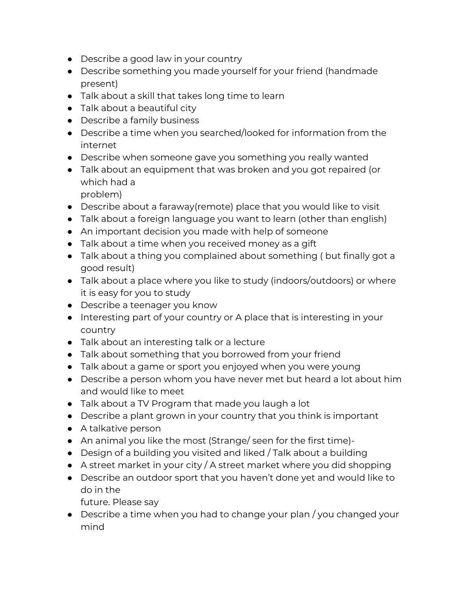- Describe a good law in your country
- Describe something you made yourself for your friend (handmade present)
- Talk about a skill that takes long time to learn
- Talk about a beautiful city
- Describe a family business
- Describe a time when you searched/looked for information from the internet
- Describe when someone gave you something you really wanted
- Talk about an equipment that was broken and you got repaired (or which had a

problem)

- Describe about a faraway(remote) place that you would like to visit
- Talk about a foreign language you want to learn (other than english)
- An important decision you made with help of someone
- Talk about a time when you received money as a gift
- Talk about a thing you complained about something ( but finally got a good result)
- Talk about a place where you like to study (indoors/outdoors) or where it is easy for you to study
- Describe a teenager you know
- Interesting part of your country or A place that is interesting in your country
- Talk about an interesting talk or a lecture
- Talk about something that you borrowed from your friend
- Talk about a game or sport you enjoyed when you were young
- Describe a person whom you have never met but heard a lot about him and would like to meet
- Talk about a TV Program that made you laugh a lot
- Describe a plant grown in your country that you think is important
- A talkative person
- An animal you like the most (Strange/ seen for the first time)-
- Design of a building you visited and liked / Talk about a building
- $\bullet$  A street market in your city / A street market where you did shopping
- Describe an outdoor sport that you haven't done yet and would like to do in the

future. Please say

● Describe a time when you had to change your plan / you changed your mind